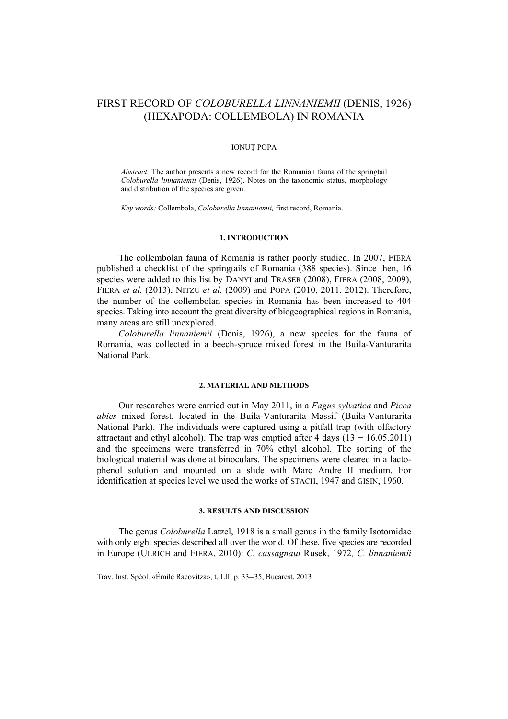# FIRST RECORD OF *COLOBURELLA LINNANIEMII* (DENIS, 1926) (HEXAPODA: COLLEMBOLA) IN ROMANIA

## IONUŢ POPA

*Abstract.* The author presents a new record for the Romanian fauna of the springtail *Coloburella linnaniemii* (Denis, 1926). Notes on the taxonomic status, morphology and distribution of the species are given.

*Key words:* Collembola, *Coloburella linnaniemii,* first record, Romania.

## **1. INTRODUCTION**

The collembolan fauna of Romania is rather poorly studied. In 2007, FIERA published a checklist of the springtails of Romania (388 species). Since then, 16 species were added to this list by DANYI and TRASER (2008), FIERA (2008, 2009), FIERA *et al.* (2013), NITZU *et al.* (2009) and POPA (2010, 2011, 2012). Therefore, the number of the collembolan species in Romania has been increased to 404 species. Taking into account the great diversity of biogeographical regions in Romania, many areas are still unexplored.

*Coloburella linnaniemii* (Denis, 1926), a new species for the fauna of Romania, was collected in a beech-spruce mixed forest in the Buila-Vanturarita National Park.

### **2. MATERIAL AND METHODS**

Our researches were carried out in May 2011, in a *Fagus sylvatica* and *Picea abies* mixed forest, located in the Buila-Vanturarita Massif (Buila-Vanturarita National Park). The individuals were captured using a pitfall trap (with olfactory attractant and ethyl alcohol). The trap was emptied after 4 days  $(13 - 16.05.2011)$ and the specimens were transferred in 70% ethyl alcohol. The sorting of the biological material was done at binoculars. The specimens were cleared in a lactophenol solution and mounted on a slide with Marc Andre II medium. For identification at species level we used the works of STACH, 1947 and GISIN, 1960.

## **3. RESULTS AND DISCUSSION**

The genus *Coloburella* Latzel, 1918 is a small genus in the family Isotomidae with only eight species described all over the world. Of these, five species are recorded in Europe (ULRICH and FIERA, 2010): *C. cassagnaui* Rusek, 1972*, C. linnaniemii* 

Trav. Inst. Spéol. «Émile Racovitza», t. LII, p. 33-35, Bucarest, 2013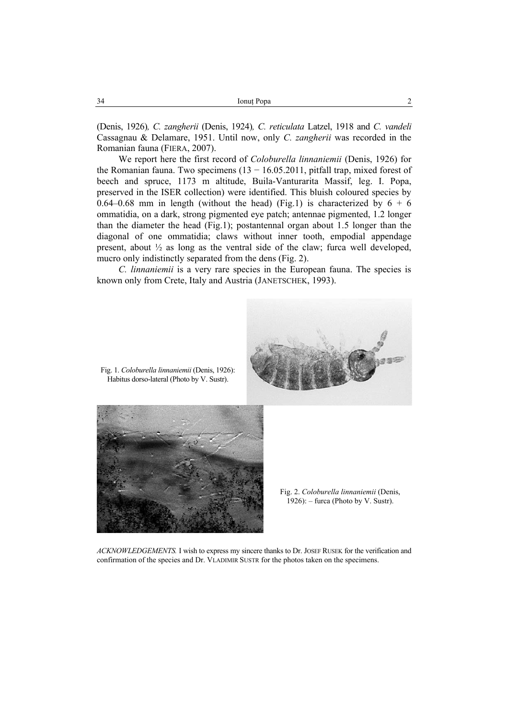(Denis, 1926)*, C. zangherii* (Denis, 1924)*, C. reticulata* Latzel, 1918 and *C. vandeli* Cassagnau & Delamare, 1951. Until now, only *C. zangherii* was recorded in the Romanian fauna (FIERA, 2007).

We report here the first record of *Coloburella linnaniemii* (Denis, 1926) for the Romanian fauna. Two specimens  $(13 - 16.05.2011)$ , pitfall trap, mixed forest of beech and spruce, 1173 m altitude, Buila-Vanturarita Massif, leg. I. Popa, preserved in the ISER collection) were identified. This bluish coloured species by 0.64–0.68 mm in length (without the head) (Fig.1) is characterized by  $6 + 6$ ommatidia, on a dark, strong pigmented eye patch; antennae pigmented, 1.2 longer than the diameter the head (Fig.1); postantennal organ about 1.5 longer than the diagonal of one ommatidia; claws without inner tooth, empodial appendage present, about ½ as long as the ventral side of the claw; furca well developed, mucro only indistinctly separated from the dens (Fig. 2).

*C. linnaniemii* is a very rare species in the European fauna. The species is known only from Crete, Italy and Austria (JANETSCHEK, 1993).



*ACKNOWLEDGEMENTS.* I wish to express my sincere thanks to Dr. JOSEF RUSEK for the verification and confirmation of the species and Dr. VLADIMIR SUSTR for the photos taken on the specimens.